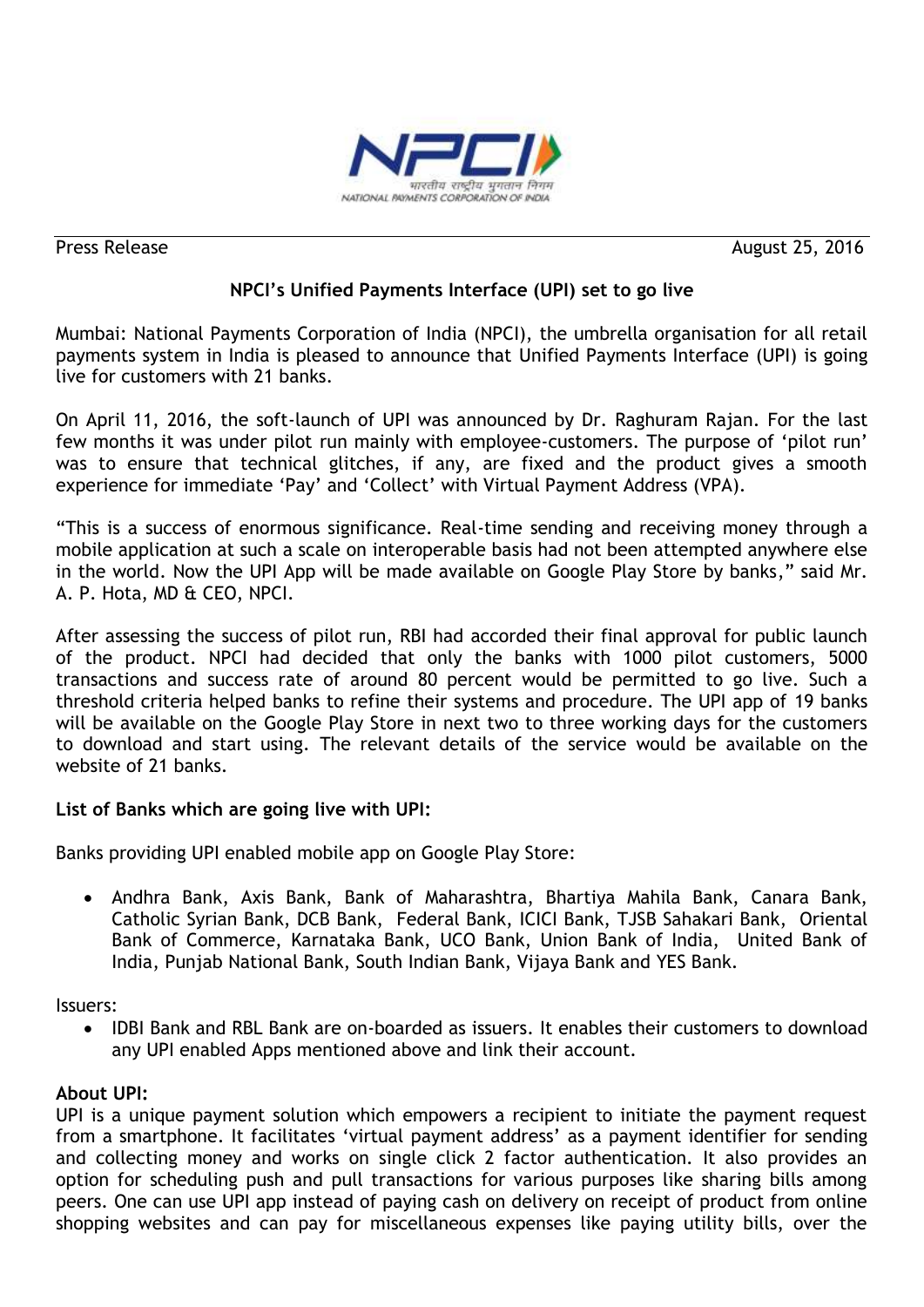

Press Release August 25, 2016

# **NPCI's Unified Payments Interface (UPI) set to go live**

Mumbai: National Payments Corporation of India (NPCI), the umbrella organisation for all retail payments system in India is pleased to announce that Unified Payments Interface (UPI) is going live for customers with 21 banks.

On April 11, 2016, the soft-launch of UPI was announced by Dr. Raghuram Rajan. For the last few months it was under pilot run mainly with employee-customers. The purpose of "pilot run" was to ensure that technical glitches, if any, are fixed and the product gives a smooth experience for immediate 'Pay' and 'Collect' with Virtual Payment Address (VPA).

"This is a success of enormous significance. Real-time sending and receiving money through a mobile application at such a scale on interoperable basis had not been attempted anywhere else in the world. Now the UPI App will be made available on Google Play Store by banks," said Mr. A. P. Hota, MD & CEO, NPCI.

After assessing the success of pilot run, RBI had accorded their final approval for public launch of the product. NPCI had decided that only the banks with 1000 pilot customers, 5000 transactions and success rate of around 80 percent would be permitted to go live. Such a threshold criteria helped banks to refine their systems and procedure. The UPI app of 19 banks will be available on the Google Play Store in next two to three working days for the customers to download and start using. The relevant details of the service would be available on the website of 21 banks.

## **List of Banks which are going live with UPI:**

Banks providing UPI enabled mobile app on Google Play Store:

 Andhra Bank, Axis Bank, Bank of Maharashtra, Bhartiya Mahila Bank, Canara Bank, Catholic Syrian Bank, DCB Bank, Federal Bank, ICICI Bank, TJSB Sahakari Bank, Oriental Bank of Commerce, Karnataka Bank, UCO Bank, Union Bank of India, United Bank of India, Punjab National Bank, South Indian Bank, Vijaya Bank and YES Bank.

Issuers:

• IDBI Bank and RBL Bank are on-boarded as issuers. It enables their customers to download any UPI enabled Apps mentioned above and link their account.

### **About UPI:**

UPI is a unique payment solution which empowers a recipient to initiate the payment request from a smartphone. It facilitates "virtual payment address" as a payment identifier for sending and collecting money and works on single click 2 factor authentication. It also provides an option for scheduling push and pull transactions for various purposes like sharing bills among peers. One can use UPI app instead of paying cash on delivery on receipt of product from online shopping websites and can pay for miscellaneous expenses like paying utility bills, over the